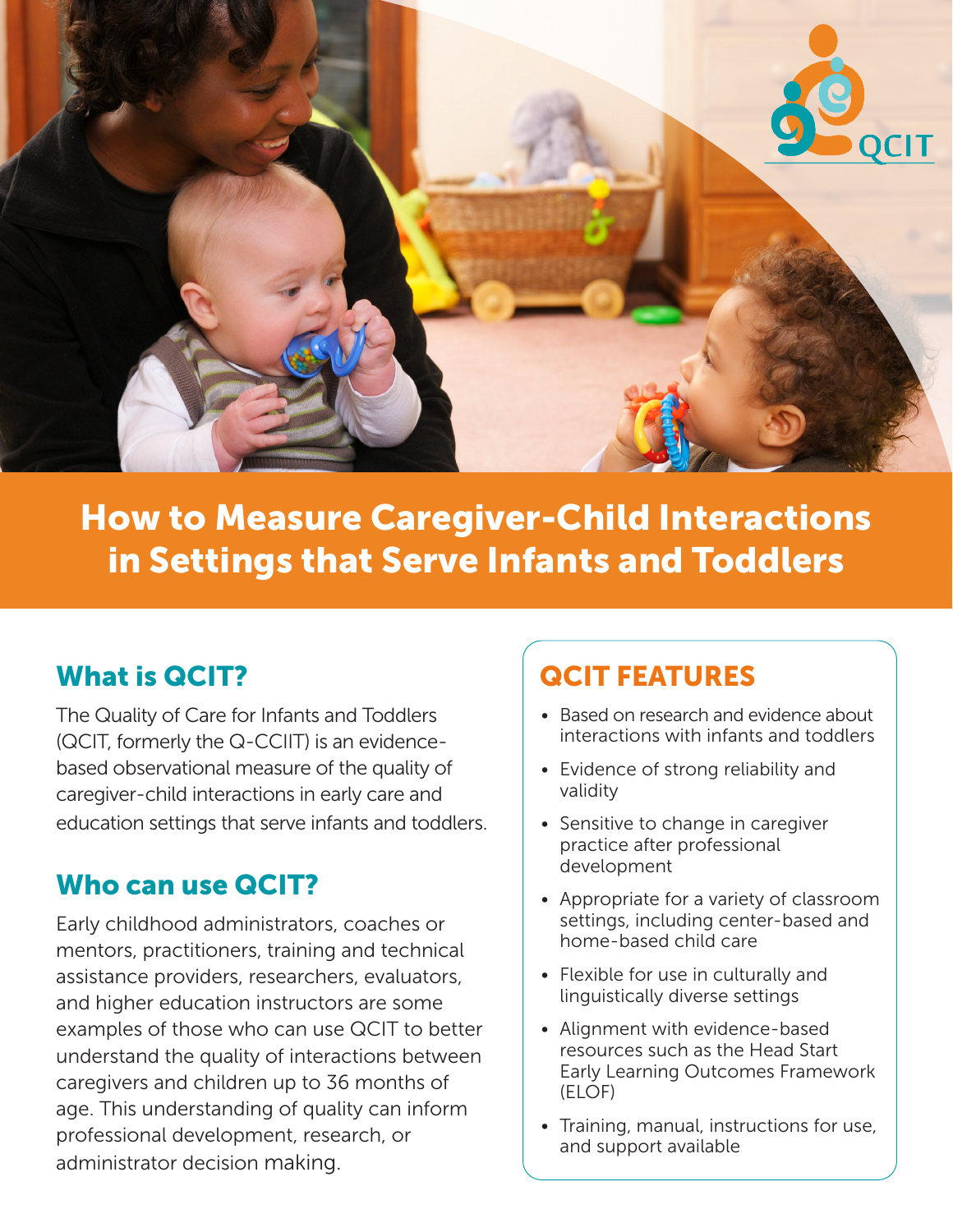

How to Measure Caregiver-Child Interactions in Settings that Serve Infants and Toddlers

## What is QCIT?

The Quality of Care for Infants and Toddlers (QCIT, formerly the Q-CCIIT) is an evidencebased observational measure of the quality of caregiver-child interactions in early care and education settings that serve infants and toddlers.

## Who can use QCIT?

Early childhood administrators, coaches or mentors, practitioners, training and technical assistance providers, researchers, evaluators, and higher education instructors are some examples of those who can use QCIT to better understand the quality of interactions between caregivers and children up to 36 months of age. This understanding of quality can inform professional development, research, or administrator decision making.

# QCIT FEATURES

- Based on research and evidence about interactions with infants and toddlers
- Evidence of strong reliability and validity
- Sensitive to change in caregiver practice after professional development
- Appropriate for a variety of classroom settings, including center-based and home-based child care
- Flexible for use in culturally and linguistically diverse settings
- Alignment with evidence-based resources such as the Head Start Early Learning Outcomes Framework (ELOF)
- Training, manual, instructions for use, and support available